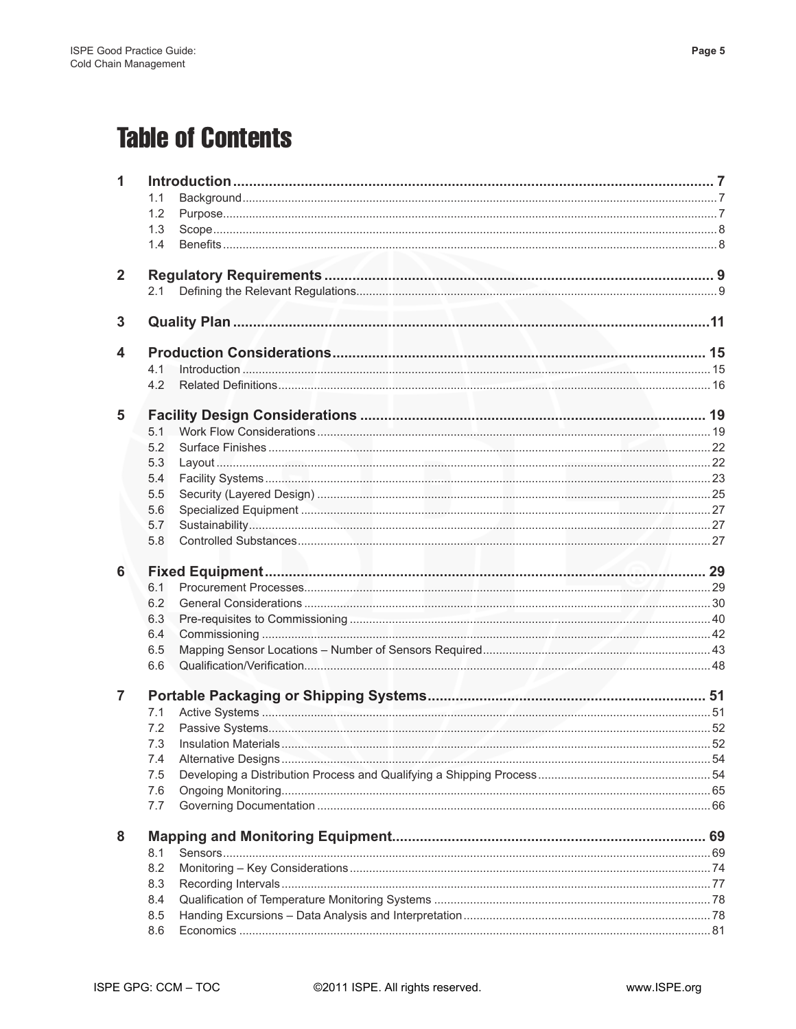## **Table of Contents**